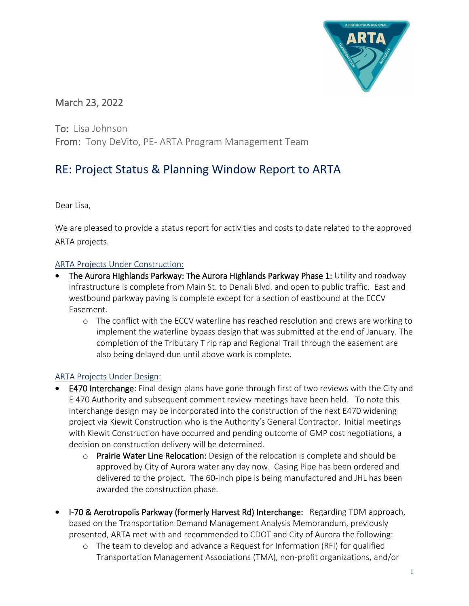

# March 23, 2022

To: Lisa Johnson From: Tony DeVito, PE- ARTA Program Management Team

# RE: Project Status & Planning Window Report to ARTA

Dear Lisa,

We are pleased to provide a status report for activities and costs to date related to the approved ARTA projects.

#### ARTA Projects Under Construction:

- The Aurora Highlands Parkway: The Aurora Highlands Parkway Phase 1: Utility and roadway infrastructure is complete from Main St. to Denali Blvd. and open to public traffic. East and westbound parkway paving is complete except for a section of eastbound at the ECCV Easement.
	- o The conflict with the ECCV waterline has reached resolution and crews are working to implement the waterline bypass design that was submitted at the end of January. The completion of the Tributary T rip rap and Regional Trail through the easement are also being delayed due until above work is complete.

## ARTA Projects Under Design:

- E470 Interchange: Final design plans have gone through first of two reviews with the City and E 470 Authority and subsequent comment review meetings have been held. To note this interchange design may be incorporated into the construction of the next E470 widening project via Kiewit Construction who is the Authority's General Contractor. Initial meetings with Kiewit Construction have occurred and pending outcome of GMP cost negotiations, a decision on construction delivery will be determined.
	- $\circ$  Prairie Water Line Relocation: Design of the relocation is complete and should be approved by City of Aurora water any day now. Casing Pipe has been ordered and delivered to the project. The 60-inch pipe is being manufactured and JHL has been awarded the construction phase.
- I-70 & Aerotropolis Parkway (formerly Harvest Rd) Interchange: Regarding TDM approach, based on the Transportation Demand Management Analysis Memorandum, previously presented, ARTA met with and recommended to CDOT and City of Aurora the following:
	- o The team to develop and advance a Request for Information (RFI) for qualified Transportation Management Associations (TMA), non-profit organizations, and/or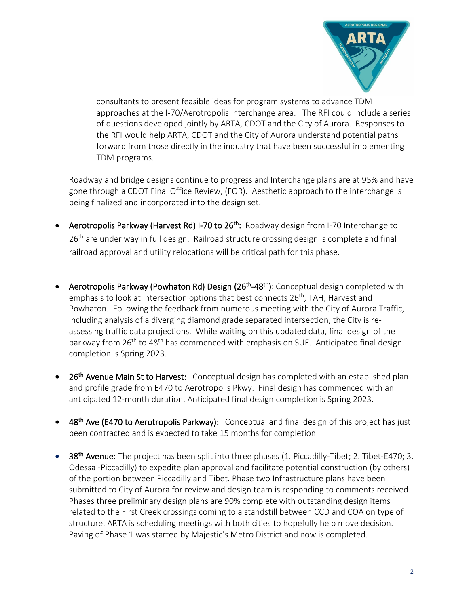

consultants to present feasible ideas for program systems to advance TDM approaches at the I-70/Aerotropolis Interchange area. The RFI could include a series of questions developed jointly by ARTA, CDOT and the City of Aurora. Responses to the RFI would help ARTA, CDOT and the City of Aurora understand potential paths forward from those directly in the industry that have been successful implementing TDM programs.

Roadway and bridge designs continue to progress and Interchange plans are at 95% and have gone through a CDOT Final Office Review, (FOR). Aesthetic approach to the interchange is being finalized and incorporated into the design set.

- Aerotropolis Parkway (Harvest Rd) I-70 to 26<sup>th</sup>: Roadway design from I-70 Interchange to 26<sup>th</sup> are under way in full design. Railroad structure crossing design is complete and final railroad approval and utility relocations will be critical path for this phase.
- Aerotropolis Parkway (Powhaton Rd) Design (26<sup>th</sup>-48<sup>th</sup>): Conceptual design completed with emphasis to look at intersection options that best connects 26<sup>th</sup>, TAH, Harvest and Powhaton. Following the feedback from numerous meeting with the City of Aurora Traffic, including analysis of a diverging diamond grade separated intersection, the City is reassessing traffic data projections. While waiting on this updated data, final design of the parkway from 26<sup>th</sup> to 48<sup>th</sup> has commenced with emphasis on SUE. Anticipated final design completion is Spring 2023.
- 26<sup>th</sup> Avenue Main St to Harvest: Conceptual design has completed with an established plan and profile grade from E470 to Aerotropolis Pkwy. Final design has commenced with an anticipated 12-month duration. Anticipated final design completion is Spring 2023.
- 48<sup>th</sup> Ave (E470 to Aerotropolis Parkway): Conceptual and final design of this project has just been contracted and is expected to take 15 months for completion.
- 38<sup>th</sup> Avenue: The project has been split into three phases (1. Piccadilly-Tibet; 2. Tibet-E470; 3. Odessa -Piccadilly) to expedite plan approval and facilitate potential construction (by others) of the portion between Piccadilly and Tibet. Phase two Infrastructure plans have been submitted to City of Aurora for review and design team is responding to comments received. Phases three preliminary design plans are 90% complete with outstanding design items related to the First Creek crossings coming to a standstill between CCD and COA on type of structure. ARTA is scheduling meetings with both cities to hopefully help move decision. Paving of Phase 1 was started by Majestic's Metro District and now is completed.